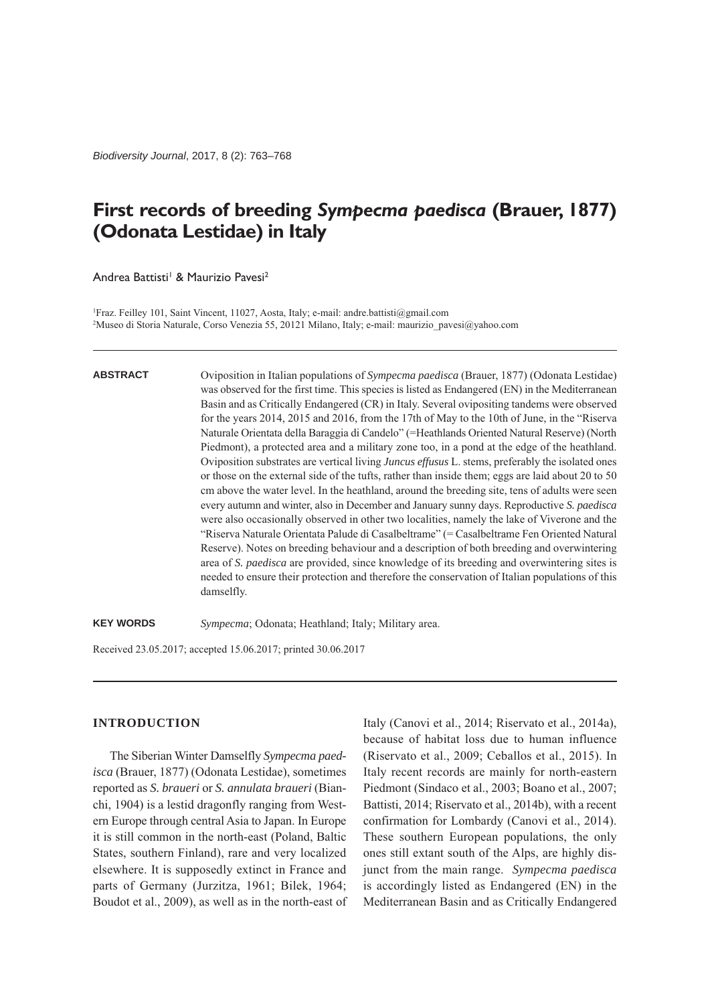*Biodiversity Journal*, 2017, 8 (2): 763–768

# **First records of breeding** *Sympecma paedisca* **(Brauer, 1877) (Odonata Lestidae) in Italy**

Andrea Battisti<sup>1</sup> & Maurizio Pavesi<sup>2</sup>

1 Fraz. Feilley 101, Saint Vincent, 11027, Aosta, Italy; e-mail: andre.battisti@gmail.com 2 Museo di Storia Naturale, Corso Venezia 55, 20121 Milano, Italy; e-mail: maurizio\_pavesi@yahoo.com

#### **ABSTRACT**

Oviposition in Italian populations of *Sympecma paedisca* (Brauer, 1877) (Odonata Lestidae) was observed for the first time. This species is listed as Endangered (EN) in the Mediterranean Basin and as Critically Endangered (CR) in Italy. Several ovipositing tandems were observed for the years 2014, 2015 and 2016, from the 17th of May to the 10th of June, in the "Riserva Naturale Orientata della Baraggia di Candelo" (=Heathlands Oriented Natural Reserve) (North Piedmont), a protected area and a military zone too, in a pond at the edge of the heathland. Oviposition substrates are vertical living *Juncus effusus* L. stems, preferably the isolated ones or those on the external side of the tufts, rather than inside them; eggs are laid about 20 to 50 cm above the water level. In the heathland, around the breeding site, tens of adults were seen every autumn and winter, also in December and January sunny days. Reproductive *S. paedisca* were also occasionally observed in other two localities, namely the lake of Viverone and the "Riserva Naturale Orientata Palude di Casalbeltrame" (= Casalbeltrame Fen Oriented Natural Reserve). Notes on breeding behaviour and a description of both breeding and overwintering area of *S. paedisca* are provided, since knowledge of its breeding and overwintering sites is needed to ensure their protection and therefore the conservation of Italian populations of this damselfly.

**KEY WORDS** *Sympecma*; Odonata; Heathland; Italy; Military area.

Received 23.05.2017; accepted 15.06.2017; printed 30.06.2017

## **INTRODUCTION**

The Siberian Winter Damselfly *Sympecma paedisca* (Brauer, 1877) (Odonata Lestidae), sometimes reported as *S. braueri* or *S. annulata braueri* (Bianchi, 1904) is a lestid dragonfly ranging from Western Europe through central Asia to Japan. In Europe it is still common in the north-east (Poland, Baltic States, southern Finland), rare and very localized elsewhere. It is supposedly extinct in France and parts of Germany (Jurzitza, 1961; Bilek, 1964; Boudot et al., 2009), as well as in the north-east of

Italy (Canovi et al., 2014; Riservato et al., 2014a), because of habitat loss due to human influence (Riservato et al., 2009; Ceballos et al., 2015). In Italy recent records are mainly for north-eastern Piedmont (Sindaco et al., 2003; Boano et al., 2007; Battisti, 2014; Riservato et al., 2014b), with a recent confirmation for Lombardy (Canovi et al., 2014). These southern European populations, the only ones still extant south of the Alps, are highly disjunct from the main range. *Sympecma paedisca* is accordingly listed as Endangered (EN) in the Mediterranean Basin and as Critically Endangered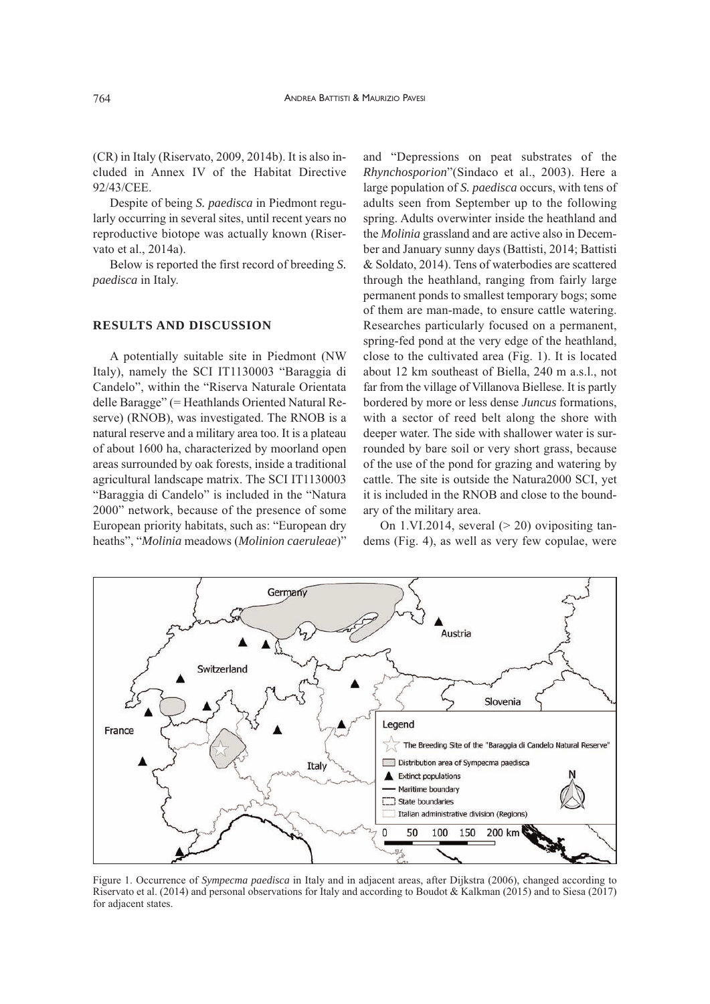(CR) in Italy (Riservato, 2009, 2014b). It is also included in Annex IV of the Habitat Directive 92/43/CEE.

Despite of being *S. paedisca* in Piedmont regularly occurring in several sites, until recent years no reproductive biotope was actually known (Riservato et al., 2014a).

Below is reported the first record of breeding *S. paedisca* in Italy.

#### **RESULTS AND DISCUSSION**

A potentially suitable site in Piedmont (NW Italy), namely the SCI IT1130003 "Baraggia di Candelo", within the "Riserva Naturale Orientata delle Baragge" (= Heathlands Oriented Natural Reserve) (RNOB), was investigated. The RNOB is a natural reserve and a military area too. It is a plateau of about 1600 ha, characterized by moorland open areas surrounded by oak forests, inside a traditional agricultural landscape matrix. The SCI IT1130003 "Baraggia di Candelo" is included in the "Natura 2000" network, because of the presence of some European priority habitats, such as: "European dry heaths", "*Molinia* meadows (*Molinion caeruleae*)"

and "Depressions on peat substrates of the *Rhynchosporion*"(Sindaco et al., 2003). Here a large population of *S. paedisca* occurs, with tens of adults seen from September up to the following spring. Adults overwinter inside the heathland and the *Molinia* grassland and are active also in December and January sunny days (Battisti, 2014; Battisti & Soldato, 2014). Tens of waterbodies are scattered through the heathland, ranging from fairly large permanent ponds to smallest temporary bogs; some of them are man-made, to ensure cattle watering. Researches particularly focused on a permanent, spring-fed pond at the very edge of the heathland, close to the cultivated area (Fig. 1). It is located about 12 km southeast of Biella, 240 m a.s.l., not far from the village of Villanova Biellese. It is partly bordered by more or less dense *Juncus* formations, with a sector of reed belt along the shore with deeper water. The side with shallower water is surrounded by bare soil or very short grass, because of the use of the pond for grazing and watering by cattle. The site is outside the Natura2000 SCI, yet it is included in the RNOB and close to the boundary of the military area.

On 1.VI.2014, several  $(> 20)$  ovipositing tandems (Fig. 4), as well as very few copulae, were



Figure 1. Occurrence of *Sympecma paedisca* in Italy and in adjacent areas, after Dijkstra (2006), changed according to Riservato et al. (2014) and personal observations for Italy and according to Boudot & Kalkman (2015) and to Siesa (2017) for adjacent states.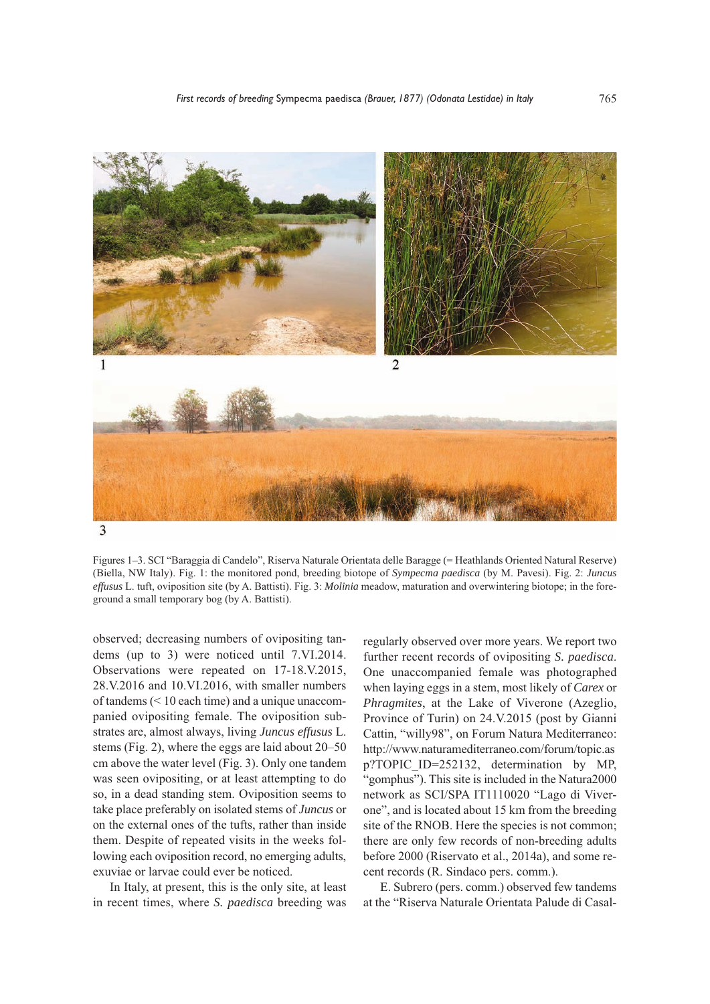

Figures 1–3. SCI "Baraggia di Candelo", Riserva Naturale Orientata delle Baragge (= Heathlands Oriented Natural Reserve) (Biella, NW Italy). Fig. 1: the monitored pond, breeding biotope of *Sympecma paedisca* (by M. Pavesi). Fig. 2: *Juncus effusus* L. tuft, oviposition site (by A. Battisti). Fig. 3: *Molinia* meadow, maturation and overwintering biotope; in the foreground a small temporary bog (by A. Battisti).

observed; decreasing numbers of ovipositing tandems (up to 3) were noticed until 7.VI.2014. Observations were repeated on 17-18.V.2015, 28.V.2016 and 10.VI.2016, with smaller numbers of tandems (< 10 each time) and a unique unaccompanied ovipositing female. The oviposition substrates are, almost always, living *Juncus effusus* L. stems (Fig. 2), where the eggs are laid about 20–50 cm above the water level (Fig. 3). Only one tandem was seen ovipositing, or at least attempting to do so, in a dead standing stem. Oviposition seems to take place preferably on isolated stems of *Juncus* or on the external ones of the tufts, rather than inside them. Despite of repeated visits in the weeks following each oviposition record, no emerging adults, exuviae or larvae could ever be noticed.

In Italy, at present, this is the only site, at least in recent times, where *S. paedisca* breeding was

regularly observed over more years. We report two further recent records of ovipositing *S. paedisca*. One unaccompanied female was photographed when laying eggs in a stem, most likely of *Carex* or *Phragmites*, at the Lake of Viverone (Azeglio, Province of Turin) on 24.V.2015 (post by Gianni Cattin, "willy98", on Forum Natura Mediterraneo: http://www.naturamediterraneo.com/forum/topic.as p?TOPIC\_ID=252132, determination by MP, "gomphus"). This site is included in the Natura2000 network as SCI/SPA IT1110020 "Lago di Viverone", and is located about 15 km from the breeding site of the RNOB. Here the species is not common; there are only few records of non-breeding adults before 2000 (Riservato et al., 2014a), and some recent records (R. Sindaco pers. comm.).

E. Subrero (pers. comm.) observed few tandems at the "Riserva Naturale Orientata Palude di Casal-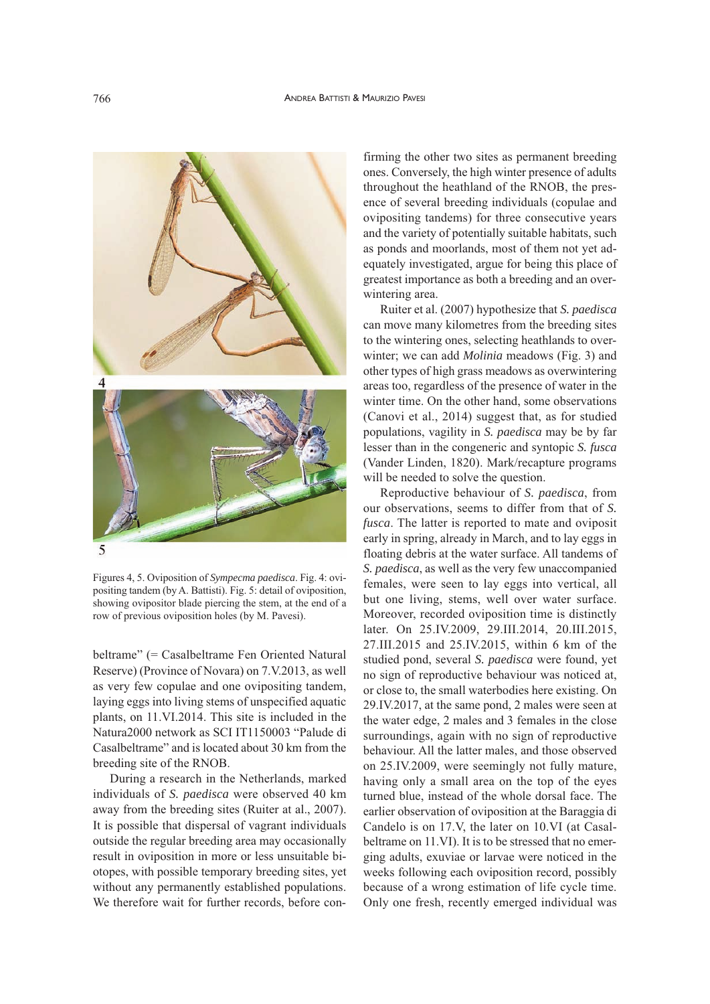

Figures 4, 5. Oviposition of *Sympecma paedisca*. Fig. 4: ovipositing tandem (by A. Battisti). Fig. 5: detail of oviposition, showing ovipositor blade piercing the stem, at the end of a row of previous oviposition holes (by M. Pavesi).

beltrame" (= Casalbeltrame Fen Oriented Natural Reserve) (Province of Novara) on 7.V.2013, as well as very few copulae and one ovipositing tandem, laying eggs into living stems of unspecified aquatic plants, on 11.VI.2014. This site is included in the Natura2000 network as SCI IT1150003 "Palude di Casalbeltrame" and is located about 30 km from the breeding site of the RNOB.

During a research in the Netherlands, marked individuals of *S. paedisca* were observed 40 km away from the breeding sites (Ruiter at al., 2007). It is possible that dispersal of vagrant individuals outside the regular breeding area may occasionally result in oviposition in more or less unsuitable biotopes, with possible temporary breeding sites, yet without any permanently established populations. We therefore wait for further records, before con-

firming the other two sites as permanent breeding ones. Conversely, the high winter presence of adults throughout the heathland of the RNOB, the presence of several breeding individuals (copulae and ovipositing tandems) for three consecutive years and the variety of potentially suitable habitats, such as ponds and moorlands, most of them not yet adequately investigated, argue for being this place of greatest importance as both a breeding and an overwintering area.

Ruiter et al. (2007) hypothesize that *S. paedisca* can move many kilometres from the breeding sites to the wintering ones, selecting heathlands to overwinter; we can add *Molinia* meadows (Fig. 3) and other types of high grass meadows as overwintering areas too, regardless of the presence of water in the winter time. On the other hand, some observations (Canovi et al., 2014) suggest that, as for studied populations, vagility in *S. paedisca* may be by far lesser than in the congeneric and syntopic *S. fusca* (Vander Linden, 1820). Mark/recapture programs will be needed to solve the question.

Reproductive behaviour of *S. paedisca*, from our observations, seems to differ from that of *S. fusca*. The latter is reported to mate and oviposit early in spring, already in March, and to lay eggs in floating debris at the water surface. All tandems of *S. paedisca*, as well as the very few unaccompanied females, were seen to lay eggs into vertical, all but one living, stems, well over water surface. Moreover, recorded oviposition time is distinctly later. On 25.IV.2009, 29.III.2014, 20.III.2015, 27.III.2015 and 25.IV.2015, within 6 km of the studied pond, several *S. paedisca* were found, yet no sign of reproductive behaviour was noticed at, or close to, the small waterbodies here existing. On 29.IV.2017, at the same pond, 2 males were seen at the water edge, 2 males and 3 females in the close surroundings, again with no sign of reproductive behaviour. All the latter males, and those observed on 25.IV.2009, were seemingly not fully mature, having only a small area on the top of the eyes turned blue, instead of the whole dorsal face. The earlier observation of oviposition at the Baraggia di Candelo is on 17.V, the later on 10.VI (at Casalbeltrame on 11.VI). It is to be stressed that no emerging adults, exuviae or larvae were noticed in the weeks following each oviposition record, possibly because of a wrong estimation of life cycle time. Only one fresh, recently emerged individual was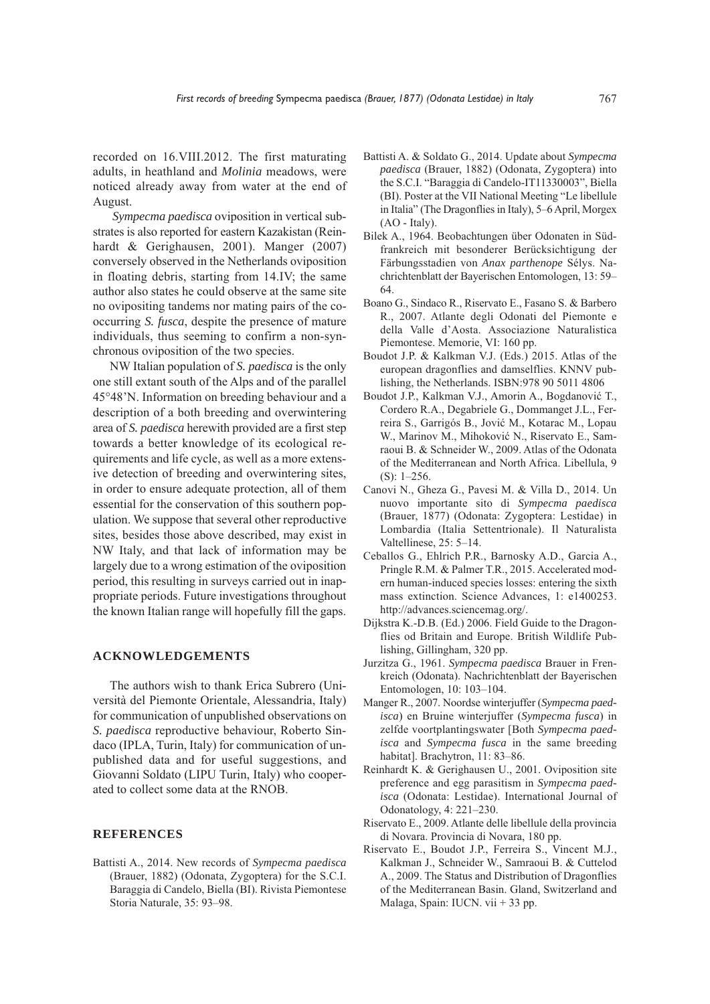recorded on 16.VIII.2012. The first maturating adults, in heathland and *Molinia* meadows, were noticed already away from water at the end of August.

*Sympecma paedisca* oviposition in vertical substrates is also reported for eastern Kazakistan (Reinhardt & Gerighausen, 2001). Manger (2007) conversely observed in the Netherlands oviposition in floating debris, starting from 14.IV; the same author also states he could observe at the same site no ovipositing tandems nor mating pairs of the cooccurring *S. fusca*, despite the presence of mature individuals, thus seeming to confirm a non-synchronous oviposition of the two species.

NW Italian population of *S. paedisca* is the only one still extant south of the Alps and of the parallel 45°48'N. Information on breeding behaviour and a description of a both breeding and overwintering area of *S. paedisca* herewith provided are a first step towards a better knowledge of its ecological requirements and life cycle, as well as a more extensive detection of breeding and overwintering sites, in order to ensure adequate protection, all of them essential for the conservation of this southern population. We suppose that several other reproductive sites, besides those above described, may exist in NW Italy, and that lack of information may be largely due to a wrong estimation of the oviposition period, this resulting in surveys carried out in inappropriate periods. Future investigations throughout the known Italian range will hopefully fill the gaps.

#### **ACKNOWLEDGEMENTS**

The authors wish to thank Erica Subrero (Università del Piemonte Orientale, Alessandria, Italy) for communication of unpublished observations on *S. paedisca* reproductive behaviour, Roberto Sindaco (IPLA, Turin, Italy) for communication of unpublished data and for useful suggestions, and Giovanni Soldato (LIPU Turin, Italy) who cooperated to collect some data at the RNOB.

### **REFERENCES**

Battisti A., 2014. New records of *Sympecma paedisca* (Brauer, 1882) (Odonata, Zygoptera) for the S.C.I. Baraggia di Candelo, Biella (BI). Rivista Piemontese Storia Naturale, 35: 93–98.

- Battisti A. & Soldato G., 2014. Update about *Sympecma paedisca* (Brauer, 1882) (Odonata, Zygoptera) into the S.C.I. "Baraggia di Candelo-IT11330003", Biella (BI). Poster at the VII National Meeting "Le libellule in Italia" (The Dragonflies in Italy), 5–6 April, Morgex (AO - Italy).
- Bilek A., 1964. Beobachtungen über Odonaten in Südfrankreich mit besonderer Berücksichtigung der Färbungsstadien von *Anax parthenope* Sélys. Nachrichtenblatt der Bayerischen Entomologen, 13: 59– 64.
- Boano G., Sindaco R., Riservato E., Fasano S. & Barbero R., 2007. Atlante degli Odonati del Piemonte e della Valle d'Aosta. Associazione Naturalistica Piemontese. Memorie, VI: 160 pp.
- Boudot J.P. & Kalkman V.J. (Eds.) 2015. Atlas of the european dragonflies and damselflies. KNNV publishing, the Netherlands. ISBN:978 90 5011 4806
- Boudot J.P., Kalkman V.J., Amorin A., Bogdanović T., Cordero R.A., Degabriele G., Dommanget J.L., Ferreira S., Garrigós B., Jović M., Kotarac M., Lopau W., Marinov M., Mihoković N., Riservato E., Samraoui B. & Schneider W., 2009. Atlas of the Odonata of the Mediterranean and North Africa. Libellula, 9  $(S): 1–256.$
- Canovi N., Gheza G., Pavesi M. & Villa D., 2014. Un nuovo importante sito di *Sympecma paedisca* (Brauer, 1877) (Odonata: Zygoptera: Lestidae) in Lombardia (Italia Settentrionale). Il Naturalista Valtellinese, 25: 5–14.
- Ceballos G., Ehlrich P.R., Barnosky A.D., Garcia A., Pringle R.M. & Palmer T.R., 2015. Accelerated modern human-induced species losses: entering the sixth mass extinction. Science Advances, 1: e1400253. http://advances.sciencemag.org/.
- Dijkstra K.-D.B. (Ed.) 2006. Field Guide to the Dragonflies od Britain and Europe. British Wildlife Publishing, Gillingham, 320 pp.
- Jurzitza G., 1961. *Sympecma paedisca* Brauer in Frenkreich (Odonata). Nachrichtenblatt der Bayerischen Entomologen, 10: 103–104.
- Manger R., 2007. Noordse winterjuffer (*Sympecma paedisca*) en Bruine winterjuffer (*Sympecma fusca*) in zelfde voortplantingswater [Both *Sympecma paedisca* and *Sympecma fusca* in the same breeding habitat]. Brachytron, 11: 83-86.
- Reinhardt K. & Gerighausen U., 2001. Oviposition site preference and egg parasitism in *Sympecma paedisca* (Odonata: Lestidae). International Journal of Odonatology, 4: 221–230.
- Riservato E., 2009. Atlante delle libellule della provincia di Novara. Provincia di Novara, 180 pp.
- Riservato E., Boudot J.P., Ferreira S., Vincent M.J., Kalkman J., Schneider W., Samraoui B. & Cuttelod A., 2009. The Status and Distribution of Dragonflies of the Mediterranean Basin. Gland, Switzerland and Malaga, Spain: IUCN. vii + 33 pp.